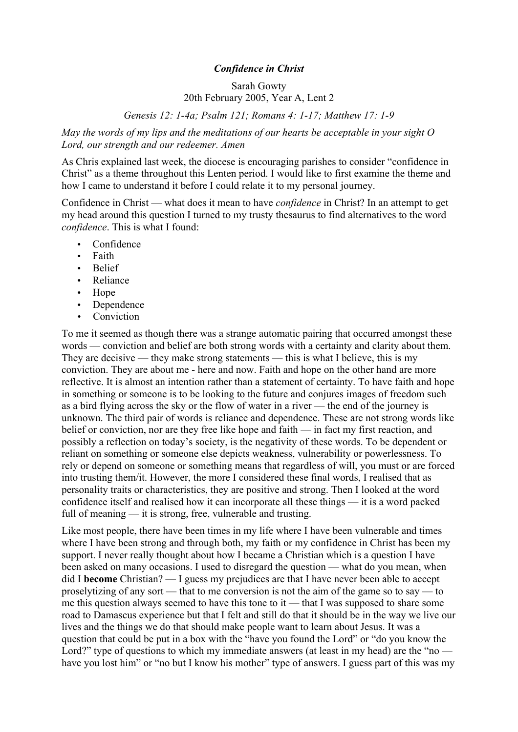## *Confidence in Christ*

## Sarah Gowty 20th February 2005, Year A, Lent 2

*Genesis 12: 1-4a; Psalm 121; Romans 4: 1-17; Matthew 17: 1-9*

*May the words of my lips and the meditations of our hearts be acceptable in your sight O Lord, our strength and our redeemer. Amen*

As Chris explained last week, the diocese is encouraging parishes to consider "confidence in Christ" as a theme throughout this Lenten period. I would like to first examine the theme and how I came to understand it before I could relate it to my personal journey.

Confidence in Christ — what does it mean to have *confidence* in Christ? In an attempt to get my head around this question I turned to my trusty thesaurus to find alternatives to the word *confidence*. This is what I found:

- Confidence
- Faith
- Belief
- Reliance
- Hope
- Dependence
- Conviction

To me it seemed as though there was a strange automatic pairing that occurred amongst these words — conviction and belief are both strong words with a certainty and clarity about them. They are decisive — they make strong statements — this is what I believe, this is my conviction. They are about me - here and now. Faith and hope on the other hand are more reflective. It is almost an intention rather than a statement of certainty. To have faith and hope in something or someone is to be looking to the future and conjures images of freedom such as a bird flying across the sky or the flow of water in a river — the end of the journey is unknown. The third pair of words is reliance and dependence. These are not strong words like belief or conviction, nor are they free like hope and faith — in fact my first reaction, and possibly a reflection on today's society, is the negativity of these words. To be dependent or reliant on something or someone else depicts weakness, vulnerability or powerlessness. To rely or depend on someone or something means that regardless of will, you must or are forced into trusting them/it. However, the more I considered these final words, I realised that as personality traits or characteristics, they are positive and strong. Then I looked at the word confidence itself and realised how it can incorporate all these things — it is a word packed full of meaning — it is strong, free, vulnerable and trusting.

Like most people, there have been times in my life where I have been vulnerable and times where I have been strong and through both, my faith or my confidence in Christ has been my support. I never really thought about how I became a Christian which is a question I have been asked on many occasions. I used to disregard the question — what do you mean, when did I **become** Christian? — I guess my prejudices are that I have never been able to accept proselytizing of any sort — that to me conversion is not the aim of the game so to say — to me this question always seemed to have this tone to it — that I was supposed to share some road to Damascus experience but that I felt and still do that it should be in the way we live our lives and the things we do that should make people want to learn about Jesus. It was a question that could be put in a box with the "have you found the Lord" or "do you know the Lord?" type of questions to which my immediate answers (at least in my head) are the "no have you lost him" or "no but I know his mother" type of answers. I guess part of this was my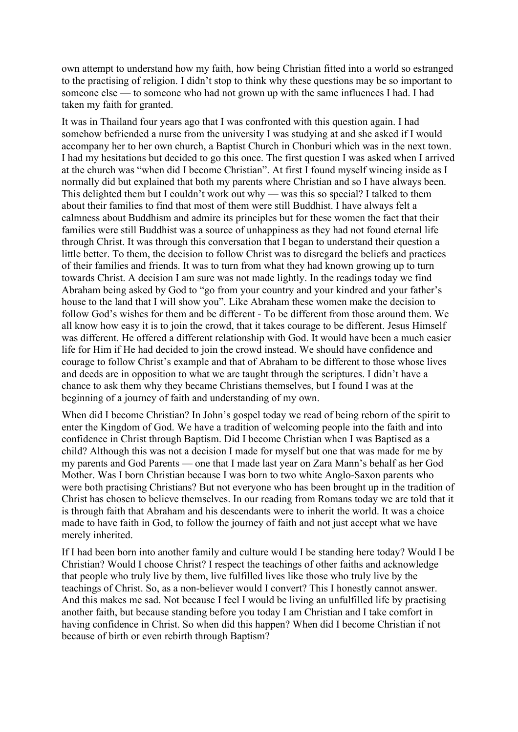own attempt to understand how my faith, how being Christian fitted into a world so estranged to the practising of religion. I didn't stop to think why these questions may be so important to someone else — to someone who had not grown up with the same influences I had. I had taken my faith for granted.

It was in Thailand four years ago that I was confronted with this question again. I had somehow befriended a nurse from the university I was studying at and she asked if I would accompany her to her own church, a Baptist Church in Chonburi which was in the next town. I had my hesitations but decided to go this once. The first question I was asked when I arrived at the church was "when did I become Christian". At first I found myself wincing inside as I normally did but explained that both my parents where Christian and so I have always been. This delighted them but I couldn't work out why — was this so special? I talked to them about their families to find that most of them were still Buddhist. I have always felt a calmness about Buddhism and admire its principles but for these women the fact that their families were still Buddhist was a source of unhappiness as they had not found eternal life through Christ. It was through this conversation that I began to understand their question a little better. To them, the decision to follow Christ was to disregard the beliefs and practices of their families and friends. It was to turn from what they had known growing up to turn towards Christ. A decision I am sure was not made lightly. In the readings today we find Abraham being asked by God to "go from your country and your kindred and your father's house to the land that I will show you". Like Abraham these women make the decision to follow God's wishes for them and be different - To be different from those around them. We all know how easy it is to join the crowd, that it takes courage to be different. Jesus Himself was different. He offered a different relationship with God. It would have been a much easier life for Him if He had decided to join the crowd instead. We should have confidence and courage to follow Christ's example and that of Abraham to be different to those whose lives and deeds are in opposition to what we are taught through the scriptures. I didn't have a chance to ask them why they became Christians themselves, but I found I was at the beginning of a journey of faith and understanding of my own.

When did I become Christian? In John's gospel today we read of being reborn of the spirit to enter the Kingdom of God. We have a tradition of welcoming people into the faith and into confidence in Christ through Baptism. Did I become Christian when I was Baptised as a child? Although this was not a decision I made for myself but one that was made for me by my parents and God Parents — one that I made last year on Zara Mann's behalf as her God Mother. Was I born Christian because I was born to two white Anglo-Saxon parents who were both practising Christians? But not everyone who has been brought up in the tradition of Christ has chosen to believe themselves. In our reading from Romans today we are told that it is through faith that Abraham and his descendants were to inherit the world. It was a choice made to have faith in God, to follow the journey of faith and not just accept what we have merely inherited.

If I had been born into another family and culture would I be standing here today? Would I be Christian? Would I choose Christ? I respect the teachings of other faiths and acknowledge that people who truly live by them, live fulfilled lives like those who truly live by the teachings of Christ. So, as a non-believer would I convert? This I honestly cannot answer. And this makes me sad. Not because I feel I would be living an unfulfilled life by practising another faith, but because standing before you today I am Christian and I take comfort in having confidence in Christ. So when did this happen? When did I become Christian if not because of birth or even rebirth through Baptism?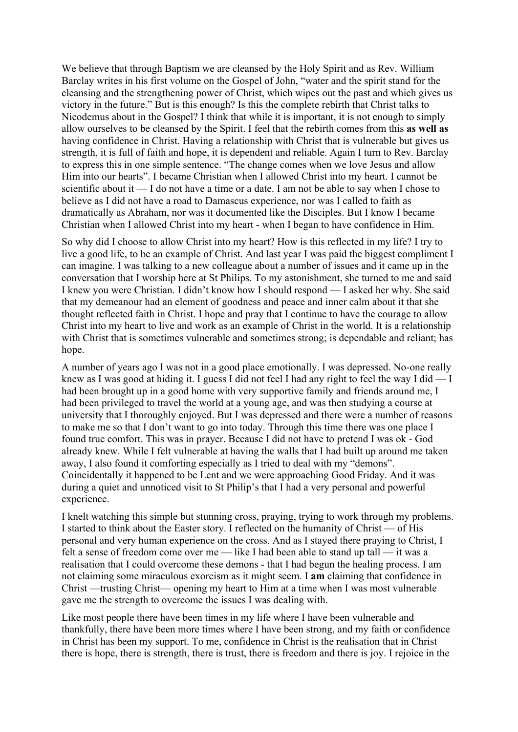We believe that through Baptism we are cleansed by the Holy Spirit and as Rev. William Barclay writes in his first volume on the Gospel of John, "water and the spirit stand for the cleansing and the strengthening power of Christ, which wipes out the past and which gives us victory in the future." But is this enough? Is this the complete rebirth that Christ talks to Nicodemus about in the Gospel? I think that while it is important, it is not enough to simply allow ourselves to be cleansed by the Spirit. I feel that the rebirth comes from this **as well as** having confidence in Christ. Having a relationship with Christ that is vulnerable but gives us strength, it is full of faith and hope, it is dependent and reliable. Again I turn to Rev. Barclay to express this in one simple sentence. "The change comes when we love Jesus and allow Him into our hearts". I became Christian when I allowed Christ into my heart. I cannot be scientific about it — I do not have a time or a date. I am not be able to say when I chose to believe as I did not have a road to Damascus experience, nor was I called to faith as dramatically as Abraham, nor was it documented like the Disciples. But I know I became Christian when I allowed Christ into my heart - when I began to have confidence in Him.

So why did I choose to allow Christ into my heart? How is this reflected in my life? I try to live a good life, to be an example of Christ. And last year I was paid the biggest compliment I can imagine. I was talking to a new colleague about a number of issues and it came up in the conversation that I worship here at St Philips. To my astonishment, she turned to me and said I knew you were Christian. I didn't know how I should respond — I asked her why. She said that my demeanour had an element of goodness and peace and inner calm about it that she thought reflected faith in Christ. I hope and pray that I continue to have the courage to allow Christ into my heart to live and work as an example of Christ in the world. It is a relationship with Christ that is sometimes vulnerable and sometimes strong; is dependable and reliant; has hope.

A number of years ago I was not in a good place emotionally. I was depressed. No-one really knew as I was good at hiding it. I guess I did not feel I had any right to feel the way I did — I had been brought up in a good home with very supportive family and friends around me, I had been privileged to travel the world at a young age, and was then studying a course at university that I thoroughly enjoyed. But I was depressed and there were a number of reasons to make me so that I don't want to go into today. Through this time there was one place I found true comfort. This was in prayer. Because I did not have to pretend I was ok - God already knew. While I felt vulnerable at having the walls that I had built up around me taken away, I also found it comforting especially as I tried to deal with my "demons". Coincidentally it happened to be Lent and we were approaching Good Friday. And it was during a quiet and unnoticed visit to St Philip's that I had a very personal and powerful experience.

I knelt watching this simple but stunning cross, praying, trying to work through my problems. I started to think about the Easter story. I reflected on the humanity of Christ — of His personal and very human experience on the cross. And as I stayed there praying to Christ, I felt a sense of freedom come over me — like I had been able to stand up tall — it was a realisation that I could overcome these demons - that I had begun the healing process. I am not claiming some miraculous exorcism as it might seem. I **am** claiming that confidence in Christ —trusting Christ— opening my heart to Him at a time when I was most vulnerable gave me the strength to overcome the issues I was dealing with.

Like most people there have been times in my life where I have been vulnerable and thankfully, there have been more times where I have been strong, and my faith or confidence in Christ has been my support. To me, confidence in Christ is the realisation that in Christ there is hope, there is strength, there is trust, there is freedom and there is joy. I rejoice in the